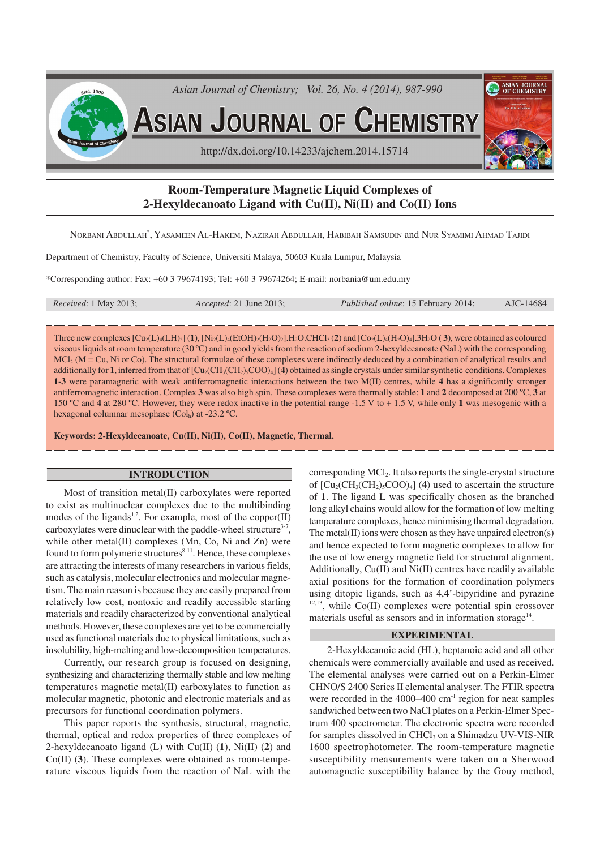

# **Room-Temperature Magnetic Liquid Complexes of 2-Hexyldecanoato Ligand with Cu(II), Ni(II) and Co(II) Ions**

NORBANI ABDULLAH\* , YASAMEEN AL-HAKEM, NAZIRAH ABDULLAH, HABIBAH SAMSUDIN and NUR SYAMIMI AHMAD TAJIDI

Department of Chemistry, Faculty of Science, Universiti Malaya, 50603 Kuala Lumpur, Malaysia

\*Corresponding author: Fax: +60 3 79674193; Tel: +60 3 79674264; E-mail: norbania@um.edu.my

| <i>Received</i> : 1 May 2013; | <i>Accepted</i> : 21 June 2013; | <i>Published online: 15 February 2014;</i> | AJC-14684 |
|-------------------------------|---------------------------------|--------------------------------------------|-----------|
|                               |                                 |                                            |           |

Three new complexes  $\left[\text{Cu}_2(\text{L})_4(\text{LH})_2\right]$  (1),  $\left[\text{Ni}_2(\text{L})_4(\text{EtOH})_2(\text{H}_2\text{O})_2\right]$ .H<sub>2</sub>O.CHCl<sub>3</sub> (**2**) and  $\left[\text{Co}_2(\text{L})_4(\text{H}_2\text{O})_4\right]$ .3H<sub>2</sub>O (3), were obtained as coloured viscous liquids at room temperature (30 ºC) and in good yields from the reaction of sodium 2-hexyldecanoate (NaL) with the corresponding MCl<sub>2</sub> (M = Cu, Ni or Co). The structural formulae of these complexes were indirectly deduced by a combination of analytical results and additionally for **1**, inferred from that of  $\text{[Cu}_2(\text{CH}_3(\text{CH}_2),\text{COO})_4]$  (4) obtained as single crystals under similar synthetic conditions. Complexes **1**-**3** were paramagnetic with weak antiferromagnetic interactions between the two M(II) centres, while **4** has a significantly stronger antiferromagnetic interaction. Complex **3** was also high spin. These complexes were thermally stable: **1** and **2** decomposed at 200 ºC, **3** at 150 ºC and **4** at 280 ºC. However, they were redox inactive in the potential range -1.5 V to + 1.5 V, while only **1** was mesogenic with a hexagonal columnar mesophase (Col<sub>h</sub>) at -23.2 °C.

**Keywords: 2-Hexyldecanoate, Cu(II), Ni(II), Co(II), Magnetic, Thermal.**

### **INTRODUCTION**

Most of transition metal(II) carboxylates were reported to exist as multinuclear complexes due to the multibinding modes of the ligands<sup>1,2</sup>. For example, most of the copper(II) carboxylates were dinuclear with the paddle-wheel structure<sup>3-7</sup>, while other metal(II) complexes (Mn, Co, Ni and Zn) were found to form polymeric structures<sup>8-11</sup>. Hence, these complexes are attracting the interests of many researchers in various fields, such as catalysis, molecular electronics and molecular magnetism. The main reason is because they are easily prepared from relatively low cost, nontoxic and readily accessible starting materials and readily characterized by conventional analytical methods. However, these complexes are yet to be commercially used as functional materials due to physical limitations, such as insolubility, high-melting and low-decomposition temperatures.

Currently, our research group is focused on designing, synthesizing and characterizing thermally stable and low melting temperatures magnetic metal(II) carboxylates to function as molecular magnetic, photonic and electronic materials and as precursors for functional coordination polymers.

This paper reports the synthesis, structural, magnetic, thermal, optical and redox properties of three complexes of 2-hexyldecanoato ligand (L) with Cu(II) (**1**), Ni(II) (**2**) and Co(II) (**3**). These complexes were obtained as room-temperature viscous liquids from the reaction of NaL with the corresponding MCl<sub>2</sub>. It also reports the single-crystal structure of  $\left[\text{Cu}_2(\text{CH}_3(\text{CH}_2)_5\text{COO})_4\right]$  (4) used to ascertain the structure of **1**. The ligand L was specifically chosen as the branched long alkyl chains would allow for the formation of low melting temperature complexes, hence minimising thermal degradation. The metal(II) ions were chosen as they have unpaired electron(s) and hence expected to form magnetic complexes to allow for the use of low energy magnetic field for structural alignment. Additionally, Cu(II) and Ni(II) centres have readily available axial positions for the formation of coordination polymers using ditopic ligands, such as 4,4'-bipyridine and pyrazine  $12,13$ , while Co(II) complexes were potential spin crossover materials useful as sensors and in information storage<sup>14</sup>.

#### **EXPERIMENTAL**

2-Hexyldecanoic acid (HL), heptanoic acid and all other chemicals were commercially available and used as received. The elemental analyses were carried out on a Perkin-Elmer CHNO/S 2400 Series II elemental analyser. The FTIR spectra were recorded in the  $4000-400$  cm<sup>-1</sup> region for neat samples sandwiched between two NaCl plates on a Perkin-Elmer Spectrum 400 spectrometer. The electronic spectra were recorded for samples dissolved in CHCl<sub>3</sub> on a Shimadzu UV-VIS-NIR 1600 spectrophotometer. The room-temperature magnetic susceptibility measurements were taken on a Sherwood automagnetic susceptibility balance by the Gouy method,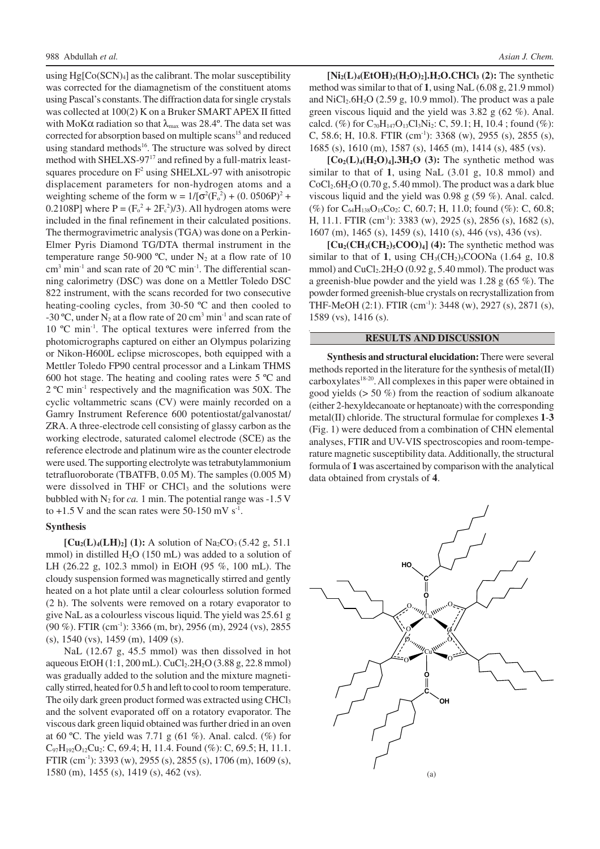using  $Hg[Co(SCN)<sub>4</sub>]$  as the calibrant. The molar susceptibility was corrected for the diamagnetism of the constituent atoms using Pascal's constants. The diffraction data for single crystals was collected at 100(2) K on a Bruker SMART APEX II fitted with MoK $\alpha$  radiation so that  $\lambda_{\text{max}}$  was 28.4°. The data set was corrected for absorption based on multiple scans<sup>15</sup> and reduced using standard methods<sup>16</sup>. The structure was solved by direct method with SHELXS-97<sup>17</sup> and refined by a full-matrix leastsquares procedure on  $F^2$  using SHELXL-97 with anisotropic displacement parameters for non-hydrogen atoms and a weighting scheme of the form  $w = 1/[\sigma^2(F_o^2) + (0.0506P)^2 +$ 0.2108P] where  $P = (F_0^2 + 2F_c^2)/3$ . All hydrogen atoms were included in the final refinement in their calculated positions. The thermogravimetric analysis (TGA) was done on a Perkin-Elmer Pyris Diamond TG/DTA thermal instrument in the temperature range 50-900 °C, under  $N_2$  at a flow rate of 10 cm<sup>3</sup> min<sup>-1</sup> and scan rate of 20 °C min<sup>-1</sup>. The differential scanning calorimetry (DSC) was done on a Mettler Toledo DSC 822 instrument, with the scans recorded for two consecutive heating-cooling cycles, from 30-50 ºC and then cooled to -30 °C, under  $N_2$  at a flow rate of 20 cm<sup>3</sup> min<sup>-1</sup> and scan rate of 10 °C min<sup>-1</sup>. The optical textures were inferred from the photomicrographs captured on either an Olympus polarizing or Nikon-H600L eclipse microscopes, both equipped with a Mettler Toledo FP90 central processor and a Linkam THMS 600 hot stage. The heating and cooling rates were 5 ºC and 2 ºC min-1 respectively and the magnification was 50X. The cyclic voltammetric scans (CV) were mainly recorded on a Gamry Instrument Reference 600 potentiostat/galvanostat/ ZRA. A three-electrode cell consisting of glassy carbon as the working electrode, saturated calomel electrode (SCE) as the reference electrode and platinum wire as the counter electrode were used. The supporting electrolyte was tetrabutylammonium tetrafluoroborate (TBATFB, 0.05 M). The samples (0.005 M) were dissolved in THF or CHCl<sub>3</sub> and the solutions were bubbled with  $N_2$  for *ca*. 1 min. The potential range was -1.5 V to  $+1.5$  V and the scan rates were 50-150 mV s<sup>-1</sup>.

### **Synthesis**

 $[Cu_2(L)_4(LH)_2]$  (1): A solution of Na<sub>2</sub>CO<sub>3</sub> (5.42 g, 51.1) mmol) in distilled  $H_2O$  (150 mL) was added to a solution of LH (26.22 g, 102.3 mmol) in EtOH (95 %, 100 mL). The cloudy suspension formed was magnetically stirred and gently heated on a hot plate until a clear colourless solution formed (2 h). The solvents were removed on a rotary evaporator to give NaL as a colourless viscous liquid. The yield was 25.61 g  $(90\%)$ . FTIR  $(cm^{-1})$ : 3366  $(m, br)$ , 2956  $(m)$ , 2924  $(vs)$ , 2855 (s), 1540 (vs), 1459 (m), 1409 (s).

NaL (12.67 g, 45.5 mmol) was then dissolved in hot aqueous EtOH (1:1, 200 mL). CuCl<sub>2</sub>.2H<sub>2</sub>O (3.88 g, 22.8 mmol) was gradually added to the solution and the mixture magnetically stirred, heated for 0.5 h and left to cool to room temperature. The oily dark green product formed was extracted using CHCl<sub>3</sub> and the solvent evaporated off on a rotatory evaporator. The viscous dark green liquid obtained was further dried in an oven at 60 °C. The yield was 7.71 g (61 %). Anal. calcd. (%) for  $C_{97}H_{192}O_{12}Cu_2$ : C, 69.4; H, 11.4. Found (%): C, 69.5; H, 11.1. FTIR (cm<sup>-1</sup>): 3393 (w), 2955 (s), 2855 (s), 1706 (m), 1609 (s), 1580 (m), 1455 (s), 1419 (s), 462 (vs).

 $[Ni_2(L)_4(EtOH)_2(H_2O)_2]$ .H<sub>2</sub>O.CHCl<sub>3</sub> (2): The synthetic method was similar to that of **1**, using NaL (6.08 g, 21.9 mmol) and  $\text{NiCl}_2$ .6H<sub>2</sub>O (2.59 g, 10.9 mmol). The product was a pale green viscous liquid and the yield was 3.82 g (62 %). Anal. calcd. (%) for  $C_{70}H_{147}O_{13}Cl_3Ni_2$ : C, 59.1; H, 10.4; found (%): C, 58.6; H, 10.8. FTIR  $(cm!)$ : 3368  $(w)$ , 2955  $(s)$ , 2855  $(s)$ , 1685 (s), 1610 (m), 1587 (s), 1465 (m), 1414 (s), 485 (vs).

 $[Co_2(L)_4(H_2O)_4]$ .3H<sub>2</sub>O (3): The synthetic method was similar to that of **1**, using NaL (3.01 g, 10.8 mmol) and  $CoCl<sub>2</sub>.6H<sub>2</sub>O$  (0.70 g, 5.40 mmol). The product was a dark blue viscous liquid and the yield was 0.98 g (59 %). Anal. calcd. (%) for  $C_{64}H_{138}O_{15}Co_2$ : C, 60.7; H, 11.0; found (%): C, 60.8; H, 11.1. FTIR (cm-1): 3383 (w), 2925 (s), 2856 (s), 1682 (s), 1607 (m), 1465 (s), 1459 (s), 1410 (s), 446 (vs), 436 (vs).

 $[Cu_2(CH_3(CH_2)_5COO)_4]$  (4): The synthetic method was similar to that of 1, using  $CH<sub>3</sub>(CH<sub>2</sub>)<sub>5</sub>COONa$  (1.64 g, 10.8) mmol) and  $CuCl<sub>2</sub>·2H<sub>2</sub>O$  (0.92 g, 5.40 mmol). The product was a greenish-blue powder and the yield was 1.28 g (65 %). The powder formed greenish-blue crystals on recrystallization from THF-MeOH (2:1). FTIR (cm-1): 3448 (w), 2927 (s), 2871 (s), 1589 (vs), 1416 (s).

## **RESULTS AND DISCUSSION**

**Synthesis and structural elucidation:**There were several methods reported in the literature for the synthesis of metal(II) carboxylates<sup>18-20</sup>. All complexes in this paper were obtained in good yields (> 50 %) from the reaction of sodium alkanoate (either 2-hexyldecanoate or heptanoate) with the corresponding metal(II) chloride. The structural formulae for complexes **1**-**3** (Fig. 1) were deduced from a combination of CHN elemental analyses, FTIR and UV-VIS spectroscopies and room-temperature magnetic susceptibility data. Additionally, the structural formula of **1** was ascertained by comparison with the analytical data obtained from crystals of **4**.

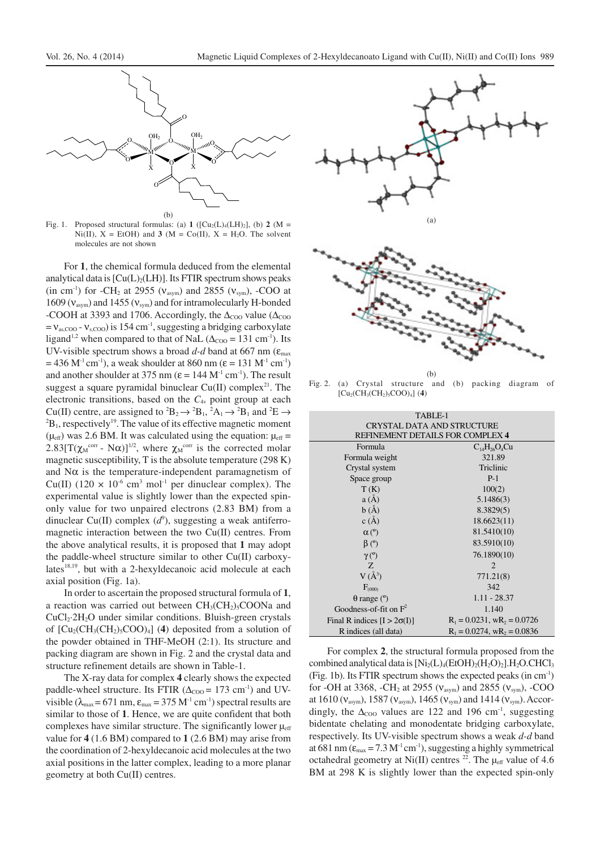

Fig. 1. Proposed structural formulas: (a) 1 ( $\left[ Cu_2(L)_4(LH)_2 \right]$ , (b) 2 (M = Ni(II),  $X = EtOH$ ) and **3** (M = Co(II),  $X = H<sub>2</sub>O$ . The solvent molecules are not shown

For **1**, the chemical formula deduced from the elemental analytical data is  $\lbrack Cu(L)<sub>2</sub>(LH) \rbrack$ . Its FTIR spectrum shows peaks (in cm<sup>-1</sup>) for -CH<sub>2</sub> at 2955 ( $v_{\text{asym}}$ ) and 2855 ( $v_{\text{sym}}$ ), -COO at 1609 ( $v_{\text{asym}}$ ) and 1455 ( $v_{\text{sym}}$ ) and for intramolecularly H-bonded -COOH at 3393 and 1706. Accordingly, the  $\Delta_{\text{COO}}$  value ( $\Delta_{\text{COO}}$ )  $= v_{\text{as,COO}} - v_{\text{s,COO}}$ ) is 154 cm<sup>-1</sup>, suggesting a bridging carboxylate ligand<sup>1,2</sup> when compared to that of NaL ( $\Delta_{COO}$  = 131 cm<sup>-1</sup>). Its UV-visible spectrum shows a broad  $d-d$  band at 667 nm ( $\epsilon_{\text{max}}$ )  $= 436$  M<sup>-1</sup> cm<sup>-1</sup>), a weak shoulder at 860 nm ( $\varepsilon = 131$  M<sup>-1</sup> cm<sup>-1</sup>) and another shoulder at 375 nm ( $\varepsilon = 144$  M<sup>-1</sup> cm<sup>-1</sup>). The result suggest a square pyramidal binuclear  $Cu(II)$  complex<sup>21</sup>. The electronic transitions, based on the *C*4v point group at each Cu(II) centre, are assigned to <sup>2</sup>B<sub>2</sub>  $\rightarrow$  <sup>2</sup>B<sub>1</sub>, <sup>2</sup>A<sub>1</sub>  $\rightarrow$  <sup>2</sup>B<sub>1</sub> and <sup>2</sup>E  $\rightarrow$  ${}^{2}B_{1}$ , respectively<sup>19</sup>. The value of its effective magnetic moment ( $\mu_{\text{eff}}$ ) was 2.6 BM. It was calculated using the equation:  $\mu_{\text{eff}}$  = 2.83[T( $\chi_{M}^{corr}$  - N $\alpha$ )]<sup>1/2</sup>, where  $\chi_{M}^{corr}$  is the corrected molar magnetic susceptibility, T is the absolute temperature (298 K) and  $N\alpha$  is the temperature-independent paramagnetism of Cu(II) (120  $\times$  10<sup>-6</sup> cm<sup>3</sup> mol<sup>-1</sup> per dinuclear complex). The experimental value is slightly lower than the expected spinonly value for two unpaired electrons (2.83 BM) from a dinuclear Cu(II) complex  $(d^9)$ , suggesting a weak antiferromagnetic interaction between the two Cu(II) centres. From the above analytical results, it is proposed that **1** may adopt the paddle-wheel structure similar to other Cu(II) carboxylates<sup>18,19</sup>, but with a 2-hexyldecanoic acid molecule at each axial position (Fig. 1a).

In order to ascertain the proposed structural formula of **1**, a reaction was carried out between  $CH<sub>3</sub>(CH<sub>2</sub>)<sub>5</sub>COONa$  and  $CuCl<sub>2</sub>·2H<sub>2</sub>O$  under similar conditions. Bluish-green crystals of  $\left[\text{Cu}_2(\text{CH}_3(\text{CH}_2)_5\text{COO})_4\right]$  (4) deposited from a solution of the powder obtained in THF-MeOH (2:1). Its structure and packing diagram are shown in Fig. 2 and the crystal data and structure refinement details are shown in Table-1.

The X-ray data for complex **4** clearly shows the expected paddle-wheel structure. Its FTIR ( $\Delta_{COO}$  = 173 cm<sup>-1</sup>) and UVvisible ( $\lambda_{\text{max}}$  = 671 nm,  $\varepsilon_{\text{max}}$  = 375 M<sup>-1</sup> cm<sup>-1</sup>) spectral results are similar to those of **1**. Hence, we are quite confident that both complexes have similar structure. The significantly lower  $\mu_{\text{eff}}$ value for **4** (1.6 BM) compared to **1** (2.6 BM) may arise from the coordination of 2-hexyldecanoic acid molecules at the two axial positions in the latter complex, leading to a more planar geometry at both Cu(II) centres.





 $(b)$ Fig. 2. (a) Crystal structure and (b) packing diagram of  $[Cu<sub>2</sub>(CH<sub>3</sub>(CH<sub>2</sub>)<sub>5</sub>COO)<sub>4</sub>]$  (4)

| TABLE-1                            |                                   |  |  |
|------------------------------------|-----------------------------------|--|--|
| <b>CRYSTAL DATA AND STRUCTURE</b>  |                                   |  |  |
| REFINEMENT DETAILS FOR COMPLEX 4   |                                   |  |  |
| Formula                            | $C_{14}H_{26}O_4Cu$               |  |  |
| Formula weight                     | 321.89                            |  |  |
| Crystal system                     | Triclinic                         |  |  |
| Space group                        | $P-1$                             |  |  |
| T(K)                               | 100(2)                            |  |  |
| a(A)                               | 5.1486(3)                         |  |  |
| b(A)                               | 8.3829(5)                         |  |  |
| c(A)                               | 18.6623(11)                       |  |  |
| $\alpha$ (°)                       | 81.5410(10)                       |  |  |
| $\beta$ (°)                        | 83.5910(10)                       |  |  |
| $\gamma$ (°)                       | 76.1890(10)                       |  |  |
| Z.                                 | $\overline{c}$                    |  |  |
| $V(\AA^3)$                         | 771.21(8)                         |  |  |
| $F_{(000)}$                        | 342                               |  |  |
| $\theta$ range ( $\degree$ )       | $1.11 - 28.37$                    |  |  |
| Goodness-of-fit on $F^2$           | 1.140                             |  |  |
| Final R indices $[I > 2\sigma(I)]$ | $R_1 = 0.0231$ , w $R_2 = 0.0726$ |  |  |
| R indices (all data)               | $R_1 = 0.0274$ , w $R_2 = 0.0836$ |  |  |

For complex **2**, the structural formula proposed from the combined analytical data is  $[Ni_2(L)_4(EtOH)_2(H_2O)_2]$ . H<sub>2</sub>O.CHCl<sub>3</sub> (Fig. 1b). Its FTIR spectrum shows the expected peaks (in cm-1) for -OH at 3368, -CH<sub>2</sub> at 2955 ( $v_{\text{asym}}$ ) and 2855 ( $v_{\text{sym}}$ ), -COO at 1610 ( $v_{\text{asym}}$ ), 1587 ( $v_{\text{asym}}$ ), 1465 ( $v_{\text{sym}}$ ) and 1414 ( $v_{\text{sym}}$ ). Accordingly, the  $\Delta_{\text{COO}}$  values are 122 and 196 cm<sup>-1</sup>, suggesting bidentate chelating and monodentate bridging carboxylate, respectively. Its UV-visible spectrum shows a weak *d-d* band at 681 nm ( $\varepsilon_{\text{max}}$  = 7.3 M<sup>-1</sup> cm<sup>-1</sup>), suggesting a highly symmetrical octahedral geometry at Ni(II) centres <sup>22</sup>. The  $\mu_{eff}$  value of 4.6 BM at 298 K is slightly lower than the expected spin-only